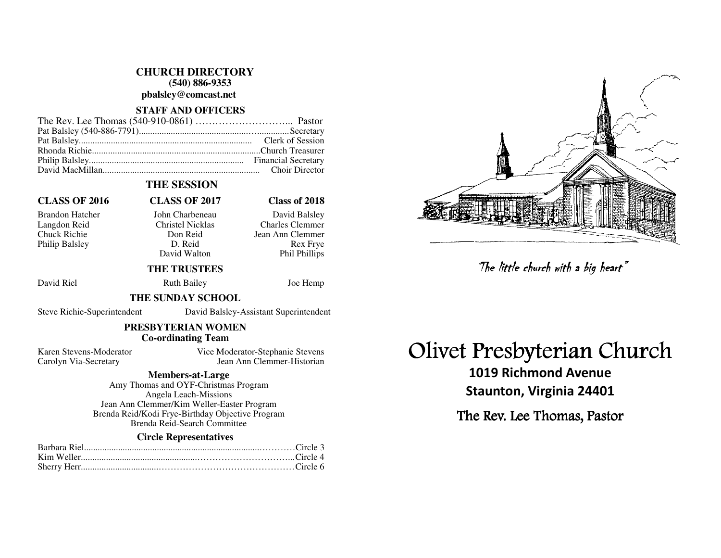**CHURCH DIRECTORY (540) 886-9353** 

**pbalsley@comcast.net** 

## **STAFF AND OFFICERS**

#### **THE SESSION**

### **CLASS OF 2016 CLASS OF 2017 Class of 2018**

Philip Balsley D. Reid

David Walton

#### Brandon Hatcher John Charbeneau David Balsley Langdon Reid Christel Nicklas Charles Clemmer Chuck Richie Don Reid Jean Ann Clemmer **Rex Frve** Phil Phillips

# **THE TRUSTEES**

David Riel **Ruth Bailey** Joe Hemp

#### **THE SUNDAY SCHOOL**

Steve Richie-Superintendent David Balsley-Assistant Superintendent

#### **PRESBYTERIAN WOMEN Co-ordinating Team**

Karen Stevens-Moderator Vice Moderator-Stephanie Stevens Carolyn Via-Secretary Jean Ann Clemmer-Historian

### **Members-at-Large**

 Amy Thomas and OYF-Christmas Program Angela Leach-Missions Jean Ann Clemmer/Kim Weller-Easter Program Brenda Reid/Kodi Frye-Birthday Objective Program Brenda Reid-Search Committee

#### **Circle Representatives**

# Olivet Presbyterian Church

1019 Richmond Avenue Staunton, Virginia 24401 The little church with a big heart"<br>Presbyterian Chi<br>019 Richmond Avenue<br>aunton, Virginia 24401<br>: Rev. Lee Thomas, Pastor

The Rev. Lee Thomas, Pastor